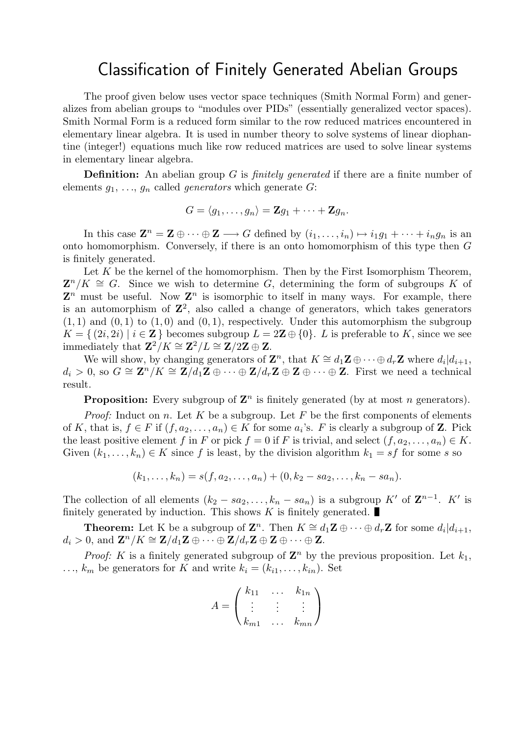## Classification of Finitely Generated Abelian Groups

The proof given below uses vector space techniques (Smith Normal Form) and generalizes from abelian groups to "modules over PIDs" (essentially generalized vector spaces). Smith Normal Form is a reduced form similar to the row reduced matrices encountered in elementary linear algebra. It is used in number theory to solve systems of linear diophantine (integer!) equations much like row reduced matrices are used to solve linear systems in elementary linear algebra.

**Definition:** An abelian group G is *finitely generated* if there are a finite number of elements  $g_1, \ldots, g_n$  called *generators* which generate G:

$$
G=\langle g_1,\ldots,g_n\rangle=\mathbf{Z}g_1+\cdots+\mathbf{Z}g_n.
$$

In this case  $\mathbf{Z}^n = \mathbf{Z} \oplus \cdots \oplus \mathbf{Z} \longrightarrow G$  defined by  $(i_1, \ldots, i_n) \mapsto i_1 g_1 + \cdots + i_n g_n$  is an onto homomorphism. Conversely, if there is an onto homomorphism of this type then G is finitely generated.

Let  $K$  be the kernel of the homomorphism. Then by the First Isomorphism Theorem,  $\mathbf{Z}^n/K \cong G$ . Since we wish to determine G, determining the form of subgroups K of  $\mathbf{Z}^n$  must be useful. Now  $\mathbf{Z}^n$  is isomorphic to itself in many ways. For example, there is an automorphism of  $\mathbb{Z}^2$ , also called a change of generators, which takes generators  $(1, 1)$  and  $(0, 1)$  to  $(1, 0)$  and  $(0, 1)$ , respectively. Under this automorphism the subgroup  $K = \{ (2i, 2i) | i \in \mathbb{Z} \}$  becomes subgroup  $L = 2\mathbb{Z} \oplus \{0\}$ . L is preferable to K, since we see immediately that  $\mathbb{Z}^2/K \cong \mathbb{Z}^2/L \cong \mathbb{Z}/2\mathbb{Z} \oplus \mathbb{Z}$ .

We will show, by changing generators of  $\mathbf{Z}^n$ , that  $K \cong d_1 \mathbf{Z} \oplus \cdots \oplus d_r \mathbf{Z}$  where  $d_i | d_{i+1}$ ,  $d_i > 0$ , so  $G \cong \mathbb{Z}^n / K \cong \mathbb{Z}/d_1\mathbb{Z} \oplus \cdots \oplus \mathbb{Z}/d_r\mathbb{Z} \oplus \mathbb{Z} \oplus \cdots \oplus \mathbb{Z}$ . First we need a technical result.

**Proposition:** Every subgroup of  $\mathbf{Z}^n$  is finitely generated (by at most n generators).

*Proof:* Induct on n. Let K be a subgroup. Let F be the first components of elements of K, that is,  $f \in F$  if  $(f, a_2, \ldots, a_n) \in K$  for some  $a_i$ 's. F is clearly a subgroup of **Z**. Pick the least positive element f in F or pick  $f = 0$  if F is trivial, and select  $(f, a_2, \ldots, a_n) \in K$ . Given  $(k_1, \ldots, k_n) \in K$  since f is least, by the division algorithm  $k_1 = sf$  for some s so

$$
(k_1,\ldots,k_n) = s(f,a_2,\ldots,a_n) + (0,k_2 - sa_2,\ldots,k_n - sa_n).
$$

The collection of all elements  $(k_2 - sa_2, \ldots, k_n - sa_n)$  is a subgroup K' of  $\mathbb{Z}^{n-1}$ . K' is finitely generated by induction. This shows  $K$  is finitely generated.

**Theorem:** Let K be a subgroup of  $\mathbf{Z}^n$ . Then  $K \cong d_1\mathbf{Z} \oplus \cdots \oplus d_r\mathbf{Z}$  for some  $d_i|d_{i+1}$ ,  $d_i > 0$ , and  $\mathbf{Z}^n / K \cong \mathbf{Z}/d_1\mathbf{Z} \oplus \cdots \oplus \mathbf{Z}/d_r\mathbf{Z} \oplus \mathbf{Z} \oplus \cdots \oplus \mathbf{Z}$ .

*Proof:* K is a finitely generated subgroup of  $\mathbb{Z}^n$  by the previous proposition. Let  $k_1$ ,  $\ldots, k_m$  be generators for K and write  $k_i = (k_{i1}, \ldots, k_{in})$ . Set

$$
A = \begin{pmatrix} k_{11} & \dots & k_{1n} \\ \vdots & \vdots & \vdots \\ k_{m1} & \dots & k_{mn} \end{pmatrix}
$$